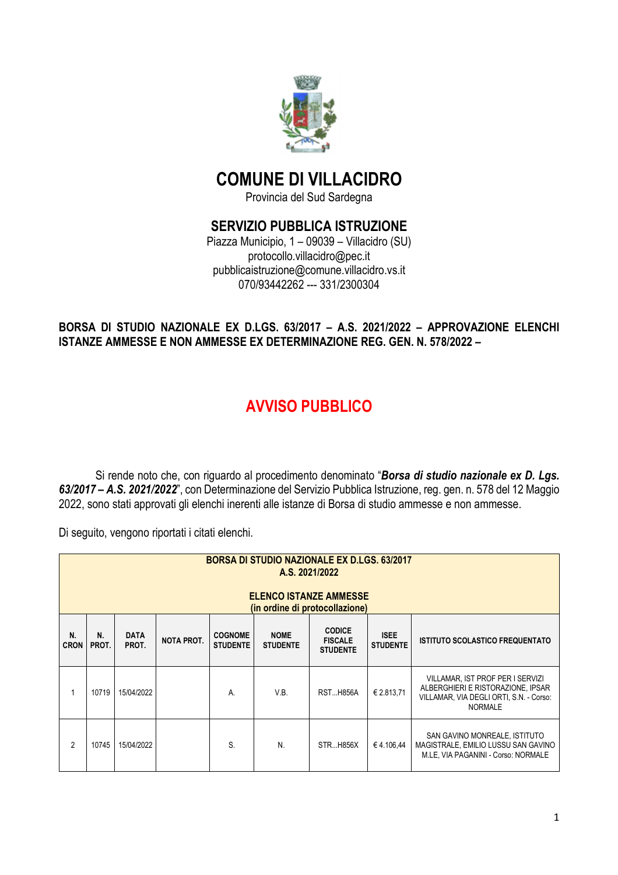

## **COMUNE DI VILLACIDRO**

Provincia del Sud Sardegna

## **SERVIZIO PUBBLICA ISTRUZIONE**

Piazza Municipio, 1 – 09039 – Villacidro (SU) protocollo.villacidro@pec.it pubblicaistruzione@comune.villacidro.vs.it 070/93442262 --- 331/2300304

## **BORSA DI STUDIO NAZIONALE EX D.LGS. 63/2017 – A.S. 2021/2022 – APPROVAZIONE ELENCHI ISTANZE AMMESSE E NON AMMESSE EX DETERMINAZIONE REG. GEN. N. 578/2022 –**

## **AVVISO PUBBLICO**

Si rende noto che, con riguardo al procedimento denominato "*Borsa di studio nazionale ex D. Lgs. 63/2017 – A.S. 2021/2022*", con Determinazione del Servizio Pubblica Istruzione, reg. gen. n. 578 del 12 Maggio 2022, sono stati approvati gli elenchi inerenti alle istanze di Borsa di studio ammesse e non ammesse.

Di seguito, vengono riportati i citati elenchi.

|                   | <b>BORSA DI STUDIO NAZIONALE EX D.LGS. 63/2017</b><br>A.S. 2021/2022<br><b>ELENCO ISTANZE AMMESSE</b><br>(in ordine di protocollazione)                                                                                                                           |            |  |    |      |                 |            |                                                                                                                                    |  |  |  |
|-------------------|-------------------------------------------------------------------------------------------------------------------------------------------------------------------------------------------------------------------------------------------------------------------|------------|--|----|------|-----------------|------------|------------------------------------------------------------------------------------------------------------------------------------|--|--|--|
| N.<br><b>CRON</b> | <b>CODICE</b><br>N.<br><b>ISEE</b><br><b>DATA</b><br><b>COGNOME</b><br><b>NOME</b><br><b>NOTA PROT.</b><br><b>FISCALE</b><br><b>ISTITUTO SCOLASTICO FREQUENTATO</b><br>PROT.<br>PROT.<br><b>STUDENTE</b><br><b>STUDENTE</b><br><b>STUDENTE</b><br><b>STUDENTE</b> |            |  |    |      |                 |            |                                                                                                                                    |  |  |  |
|                   | 10719                                                                                                                                                                                                                                                             | 15/04/2022 |  | А. | V.B. | <b>RSTH856A</b> | € 2.813,71 | VILLAMAR, IST PROF PER I SERVIZI<br>ALBERGHIERI E RISTORAZIONE, IPSAR<br>VILLAMAR, VIA DEGLI ORTI, S.N. - Corso:<br><b>NORMALE</b> |  |  |  |
| $\overline{2}$    | 10745                                                                                                                                                                                                                                                             | 15/04/2022 |  | S. | N.   | <b>STRH856X</b> | €4.106.44  | SAN GAVINO MONREALE, ISTITUTO<br>MAGISTRALE, EMILIO LUSSU SAN GAVINO<br>M.LE, VIA PAGANINI - Corso: NORMALE                        |  |  |  |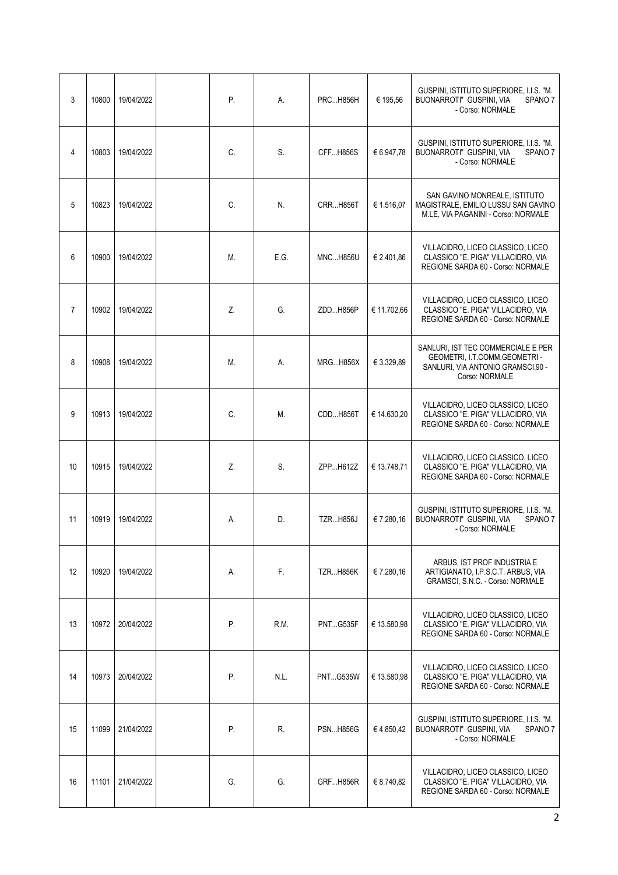| 3              | 10800 | 19/04/2022 | Ρ. | А.   | <b>PRCH856H</b> | € 195,56    | GUSPINI, ISTITUTO SUPERIORE, I.I.S. "M.<br>BUONARROTI" GUSPINI, VIA<br>SPANO <sub>7</sub><br>- Corso: NORMALE              |
|----------------|-------|------------|----|------|-----------------|-------------|----------------------------------------------------------------------------------------------------------------------------|
| 4              | 10803 | 19/04/2022 | C. | S.   | <b>CFFH856S</b> | € 6.947,78  | GUSPINI, ISTITUTO SUPERIORE, I.I.S. "M.<br>BUONARROTI" GUSPINI, VIA<br>SPANO <sub>7</sub><br>- Corso: NORMALE              |
| 5              | 10823 | 19/04/2022 | C. | N.   | <b>CRRH856T</b> | € 1.516,07  | SAN GAVINO MONREALE, ISTITUTO<br>MAGISTRALE, EMILIO LUSSU SAN GAVINO<br>M.LE, VIA PAGANINI - Corso: NORMALE                |
| 6              | 10900 | 19/04/2022 | М. | E.G. | <b>MNCH856U</b> | € 2.401,86  | VILLACIDRO, LICEO CLASSICO, LICEO<br>CLASSICO "E. PIGA" VILLACIDRO, VIA<br>REGIONE SARDA 60 - Corso: NORMALE               |
| $\overline{7}$ | 10902 | 19/04/2022 | Z. | G.   | ZDDH856P        | € 11.702,66 | VILLACIDRO, LICEO CLASSICO, LICEO<br>CLASSICO "E. PIGA" VILLACIDRO, VIA<br>REGIONE SARDA 60 - Corso: NORMALE               |
| 8              | 10908 | 19/04/2022 | М. | А.   | <b>MRGH856X</b> | € 3.329,89  | SANLURI, IST TEC COMMERCIALE E PER<br>GEOMETRI, I.T.COMM.GEOMETRI -<br>SANLURI, VIA ANTONIO GRAMSCI,90 -<br>Corso: NORMALE |
| 9              | 10913 | 19/04/2022 | C. | М.   | CDDH856T        | € 14.630,20 | VILLACIDRO, LICEO CLASSICO, LICEO<br>CLASSICO "E. PIGA" VILLACIDRO, VIA<br>REGIONE SARDA 60 - Corso: NORMALE               |
| 10             | 10915 | 19/04/2022 | Z. | S.   | ZPPH612Z        | € 13.748,71 | VILLACIDRO, LICEO CLASSICO, LICEO<br>CLASSICO "E. PIGA" VILLACIDRO, VIA<br>REGIONE SARDA 60 - Corso: NORMALE               |
| 11             | 10919 | 19/04/2022 | А. | D.   | <b>TZRH856J</b> | €7.280,16   | GUSPINI, ISTITUTO SUPERIORE, I.I.S. "M.<br>BUONARROTI" GUSPINI, VIA<br>SPANO <sub>7</sub><br>- Corso: NORMALE              |
| 12             | 10920 | 19/04/2022 | А. | F.   | <b>TZRH856K</b> | € 7.280,16  | ARBUS, IST PROF INDUSTRIA E<br>ARTIGIANATO, I.P.S.C.T. ARBUS, VIA<br>GRAMSCI, S.N.C. - Corso: NORMALE                      |
| 13             | 10972 | 20/04/2022 | Ρ. | R.M. | <b>PNTG535F</b> | € 13.580,98 | VILLACIDRO, LICEO CLASSICO, LICEO<br>CLASSICO "E. PIGA" VILLACIDRO, VIA<br>REGIONE SARDA 60 - Corso: NORMALE               |
| 14             | 10973 | 20/04/2022 | Ρ. | N.L. | <b>PNTG535W</b> | € 13.580,98 | VILLACIDRO, LICEO CLASSICO, LICEO<br>CLASSICO "E. PIGA" VILLACIDRO, VIA<br>REGIONE SARDA 60 - Corso: NORMALE               |
| 15             | 11099 | 21/04/2022 | Р. | R.   | <b>PSNH856G</b> | €4.850,42   | GUSPINI, ISTITUTO SUPERIORE, I.I.S. "M.<br>BUONARROTI" GUSPINI, VIA<br>SPANO <sub>7</sub><br>- Corso: NORMALE              |
| 16             | 11101 | 21/04/2022 | G. | G.   | GRFH856R        | € 8.740,82  | VILLACIDRO, LICEO CLASSICO, LICEO<br>CLASSICO "E. PIGA" VILLACIDRO, VIA<br>REGIONE SARDA 60 - Corso: NORMALE               |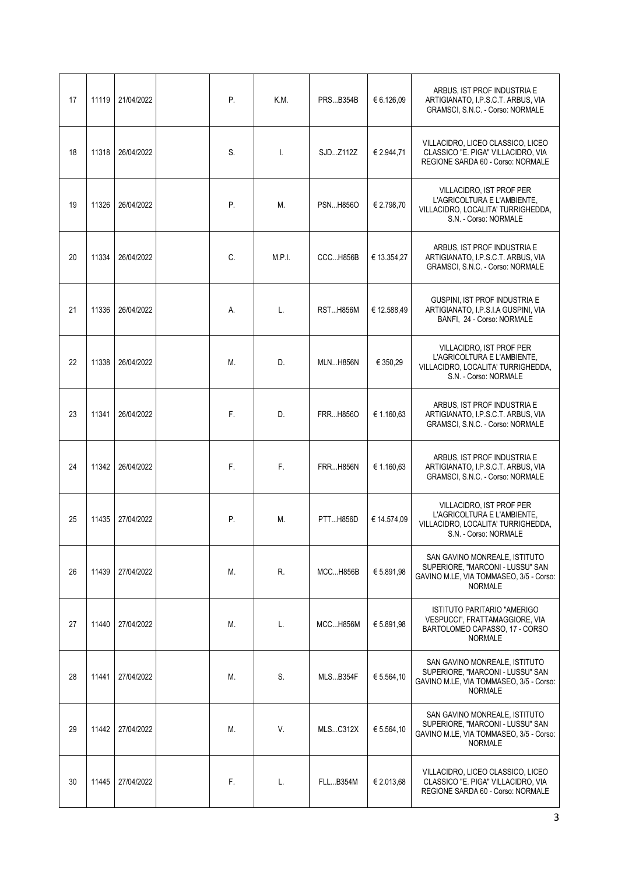| 17 | 11119 | 21/04/2022 | Ρ. | K.M.   | <b>PRSB354B</b> | € 6.126,09  | ARBUS. IST PROF INDUSTRIA E<br>ARTIGIANATO, I.P.S.C.T. ARBUS, VIA<br><b>GRAMSCI, S.N.C. - Corso: NORMALE</b>                   |
|----|-------|------------|----|--------|-----------------|-------------|--------------------------------------------------------------------------------------------------------------------------------|
| 18 | 11318 | 26/04/2022 | S. | Ι.     | SJDZ112Z        | € 2.944,71  | VILLACIDRO, LICEO CLASSICO, LICEO<br>CLASSICO "E. PIGA" VILLACIDRO, VIA<br>REGIONE SARDA 60 - Corso: NORMALE                   |
| 19 | 11326 | 26/04/2022 | Ρ. | М.     | <b>PSNH856O</b> | € 2.798,70  | <b>VILLACIDRO. IST PROF PER</b><br>L'AGRICOLTURA E L'AMBIENTE,<br>VILLACIDRO, LOCALITA' TURRIGHEDDA,<br>S.N. - Corso: NORMALE  |
| 20 | 11334 | 26/04/2022 | C. | M.P.I. | CCCH856B        | € 13.354,27 | ARBUS, IST PROF INDUSTRIA E<br>ARTIGIANATO, I.P.S.C.T. ARBUS, VIA<br><b>GRAMSCI, S.N.C. - Corso: NORMALE</b>                   |
| 21 | 11336 | 26/04/2022 | А. | L.     | <b>RSTH856M</b> | € 12.588,49 | GUSPINI, IST PROF INDUSTRIA E<br>ARTIGIANATO, I.P.S.I.A GUSPINI, VIA<br>BANFI, 24 - Corso: NORMALE                             |
| 22 | 11338 | 26/04/2022 | М. | D.     | <b>MLNH856N</b> | € 350,29    | VILLACIDRO, IST PROF PER<br>L'AGRICOLTURA E L'AMBIENTE,<br>VILLACIDRO, LOCALITA' TURRIGHEDDA,<br>S.N. - Corso: NORMALE         |
| 23 | 11341 | 26/04/2022 | F. | D.     | FRRH856O        | € 1.160,63  | ARBUS, IST PROF INDUSTRIA E<br>ARTIGIANATO, I.P.S.C.T. ARBUS, VIA<br>GRAMSCI, S.N.C. - Corso: NORMALE                          |
| 24 | 11342 | 26/04/2022 | F. | F.     | <b>FRRH856N</b> | € 1.160,63  | ARBUS, IST PROF INDUSTRIA E<br>ARTIGIANATO, I.P.S.C.T. ARBUS, VIA<br>GRAMSCI, S.N.C. - Corso: NORMALE                          |
| 25 | 11435 | 27/04/2022 | Р. | М.     | PTTH856D        | € 14.574.09 | VILLACIDRO, IST PROF PER<br>L'AGRICOLTURA E L'AMBIENTE,<br>VILLACIDRO, LOCALITA' TURRIGHEDDA,<br>S.N. - Corso: NORMALE         |
| 26 | 11439 | 27/04/2022 | М. | R.     | <b>MCCH856B</b> | € 5.891,98  | SAN GAVINO MONREALE, ISTITUTO<br>SUPERIORE, "MARCONI - LUSSU" SAN<br>GAVINO M.LE, VIA TOMMASEO, 3/5 - Corso:<br><b>NORMALE</b> |
| 27 | 11440 | 27/04/2022 | М. | L.     | MCCH856M        | € 5.891,98  | <b>ISTITUTO PARITARIO "AMERIGO</b><br>VESPUCCI", FRATTAMAGGIORE, VIA<br>BARTOLOMEO CAPASSO, 17 - CORSO<br><b>NORMALE</b>       |
| 28 | 11441 | 27/04/2022 | М. | S.     | MLSB354F        | € 5.564,10  | SAN GAVINO MONREALE, ISTITUTO<br>SUPERIORE, "MARCONI - LUSSU" SAN<br>GAVINO M.LE, VIA TOMMASEO, 3/5 - Corso:<br><b>NORMALE</b> |
| 29 | 11442 | 27/04/2022 | М. | V.     | <b>MLSC312X</b> | € 5.564,10  | SAN GAVINO MONREALE, ISTITUTO<br>SUPERIORE, "MARCONI - LUSSU" SAN<br>GAVINO M.LE, VIA TOMMASEO, 3/5 - Corso:<br><b>NORMALE</b> |
| 30 | 11445 | 27/04/2022 | F. | L.     | FLLB354M        | € 2.013,68  | VILLACIDRO, LICEO CLASSICO, LICEO<br>CLASSICO "E. PIGA" VILLACIDRO, VIA<br>REGIONE SARDA 60 - Corso: NORMALE                   |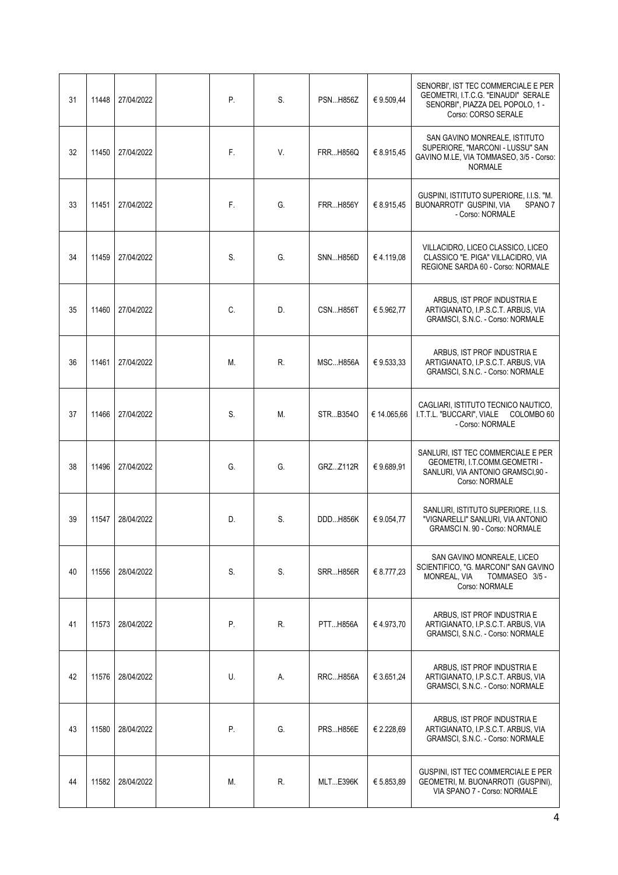| 31 | 11448 | 27/04/2022 | Ρ. | S. | <b>PSNH856Z</b>  | €9.509,44   | SENORBI', IST TEC COMMERCIALE E PER<br>GEOMETRI, I.T.C.G. "EINAUDI" SERALE<br>SENORBI", PIAZZA DEL POPOLO, 1 -<br>Corso: CORSO SERALE |
|----|-------|------------|----|----|------------------|-------------|---------------------------------------------------------------------------------------------------------------------------------------|
| 32 | 11450 | 27/04/2022 | F. | V. | <b>FRRH856Q</b>  | € 8.915,45  | SAN GAVINO MONREALE, ISTITUTO<br>SUPERIORE. "MARCONI - LUSSU" SAN<br>GAVINO M.LE, VIA TOMMASEO, 3/5 - Corso:<br><b>NORMALE</b>        |
| 33 | 11451 | 27/04/2022 | F. | G. | <b>FRR H856Y</b> | € 8.915,45  | GUSPINI, ISTITUTO SUPERIORE, I.I.S. "M.<br>BUONARROTI" GUSPINI, VIA<br>SPANO <sub>7</sub><br>- Corso: NORMALE                         |
| 34 | 11459 | 27/04/2022 | S. | G. | <b>SNNH856D</b>  | €4.119,08   | VILLACIDRO, LICEO CLASSICO, LICEO<br>CLASSICO "E. PIGA" VILLACIDRO, VIA<br>REGIONE SARDA 60 - Corso: NORMALE                          |
| 35 | 11460 | 27/04/2022 | C. | D. | <b>CSNH856T</b>  | € 5.962.77  | ARBUS, IST PROF INDUSTRIA E<br>ARTIGIANATO, I.P.S.C.T. ARBUS, VIA<br>GRAMSCI, S.N.C. - Corso: NORMALE                                 |
| 36 | 11461 | 27/04/2022 | М. | R. | <b>MSCH856A</b>  | € 9.533,33  | ARBUS, IST PROF INDUSTRIA E<br>ARTIGIANATO, I.P.S.C.T. ARBUS, VIA<br>GRAMSCI, S.N.C. - Corso: NORMALE                                 |
| 37 | 11466 | 27/04/2022 | S. | М. | STRB3540         | € 14.065,66 | CAGLIARI, ISTITUTO TECNICO NAUTICO,<br>I.T.T.L. "BUCCARI", VIALE COLOMBO 60<br>- Corso: NORMALE                                       |
| 38 | 11496 | 27/04/2022 | G. | G. | GRZZ112R         | €9.689,91   | SANLURI, IST TEC COMMERCIALE E PER<br>GEOMETRI, I.T.COMM.GEOMETRI -<br>SANLURI, VIA ANTONIO GRAMSCI,90 -<br>Corso: NORMALE            |
| 39 | 11547 | 28/04/2022 | D. | S. | DDDH856K         | € 9.054,77  | SANLURI, ISTITUTO SUPERIORE, I.I.S.<br>"VIGNARELLI" SANLURI, VIA ANTONIO<br><b>GRAMSCI N. 90 - Corso: NORMALE</b>                     |
| 40 | 11556 | 28/04/2022 | S. | S. | <b>SRRH856R</b>  | € 8.777,23  | SAN GAVINO MONREALE, LICEO<br>SCIENTIFICO, "G. MARCONI" SAN GAVINO<br>MONREAL, VIA<br>TOMMASEO 3/5 -<br>Corso: NORMALE                |
| 41 | 11573 | 28/04/2022 | Ρ. | R. | PTTH856A         | €4.973,70   | ARBUS, IST PROF INDUSTRIA E<br>ARTIGIANATO, I.P.S.C.T. ARBUS, VIA<br>GRAMSCI, S.N.C. - Corso: NORMALE                                 |
| 42 | 11576 | 28/04/2022 | U. | А. | <b>RRCH856A</b>  | € 3.651,24  | ARBUS, IST PROF INDUSTRIA E<br>ARTIGIANATO, I.P.S.C.T. ARBUS, VIA<br>GRAMSCI, S.N.C. - Corso: NORMALE                                 |
| 43 | 11580 | 28/04/2022 | Ρ. | G. | <b>PRSH856E</b>  | € 2.228,69  | ARBUS, IST PROF INDUSTRIA E<br>ARTIGIANATO, I.P.S.C.T. ARBUS, VIA<br>GRAMSCI, S.N.C. - Corso: NORMALE                                 |
| 44 | 11582 | 28/04/2022 | М. | R. | <b>MLTE396K</b>  | € 5.853,89  | GUSPINI, IST TEC COMMERCIALE E PER<br>GEOMETRI, M. BUONARROTI (GUSPINI),<br>VIA SPANO 7 - Corso: NORMALE                              |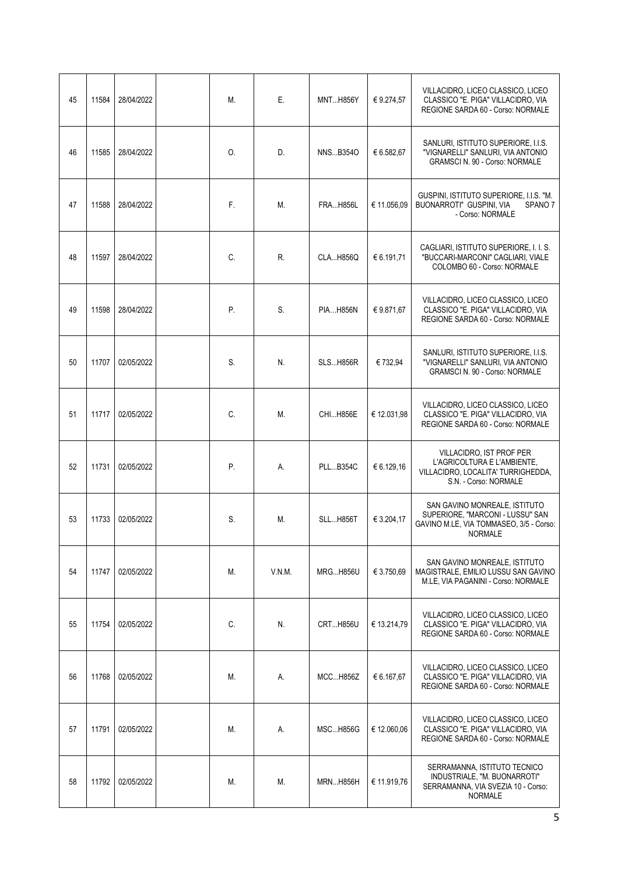| 45 | 11584 | 28/04/2022 | М. | Ε.     | <b>MNTH856Y</b> | €9.274,57   | VILLACIDRO, LICEO CLASSICO, LICEO<br>CLASSICO "E. PIGA" VILLACIDRO, VIA<br>REGIONE SARDA 60 - Corso: NORMALE                   |
|----|-------|------------|----|--------|-----------------|-------------|--------------------------------------------------------------------------------------------------------------------------------|
| 46 | 11585 | 28/04/2022 | 0. | D.     | NNSB3540        | € 6.582,67  | SANLURI, ISTITUTO SUPERIORE, I.I.S.<br>"VIGNARELLI" SANLURI, VIA ANTONIO<br><b>GRAMSCI N. 90 - Corso: NORMALE</b>              |
| 47 | 11588 | 28/04/2022 | F. | М.     | <b>FRAH856L</b> | € 11.056,09 | GUSPINI, ISTITUTO SUPERIORE, I.I.S. "M.<br>BUONARROTI" GUSPINI, VIA<br>SPANO <sub>7</sub><br>- Corso: NORMALE                  |
| 48 | 11597 | 28/04/2022 | C. | R.     | CLAH856Q        | € 6.191,71  | CAGLIARI, ISTITUTO SUPERIORE, I. I. S.<br>"BUCCARI-MARCONI" CAGLIARI, VIALE<br>COLOMBO 60 - Corso: NORMALE                     |
| 49 | 11598 | 28/04/2022 | P. | S.     | <b>PIAH856N</b> | € 9.871.67  | VILLACIDRO, LICEO CLASSICO, LICEO<br>CLASSICO "E. PIGA" VILLACIDRO, VIA<br>REGIONE SARDA 60 - Corso: NORMALE                   |
| 50 | 11707 | 02/05/2022 | S. | N.     | <b>SLSH856R</b> | € 732,94    | SANLURI, ISTITUTO SUPERIORE, I.I.S.<br>"VIGNARELLI" SANLURI, VIA ANTONIO<br><b>GRAMSCI N. 90 - Corso: NORMALE</b>              |
| 51 | 11717 | 02/05/2022 | C. | М.     | CHIH856E        | € 12.031,98 | VILLACIDRO, LICEO CLASSICO, LICEO<br>CLASSICO "E. PIGA" VILLACIDRO, VIA<br>REGIONE SARDA 60 - Corso: NORMALE                   |
| 52 | 11731 | 02/05/2022 | Ρ. | А.     | <b>PLLB354C</b> | € 6.129,16  | VILLACIDRO, IST PROF PER<br>L'AGRICOLTURA E L'AMBIENTE,<br>VILLACIDRO, LOCALITA' TURRIGHEDDA,<br>S.N. - Corso: NORMALE         |
| 53 | 11733 | 02/05/2022 | S. | М.     | <b>SLLH856T</b> | € 3.204.17  | SAN GAVINO MONREALE, ISTITUTO<br>SUPERIORE, "MARCONI - LUSSU" SAN<br>GAVINO M.LE, VIA TOMMASEO, 3/5 - Corso:<br><b>NORMALE</b> |
| 54 | 11747 | 02/05/2022 | М. | V.N.M. | <b>MRGH856U</b> | € 3.750,69  | SAN GAVINO MONREALE, ISTITUTO<br>MAGISTRALE, EMILIO LUSSU SAN GAVINO<br>M.LE, VIA PAGANINI - Corso: NORMALE                    |
| 55 | 11754 | 02/05/2022 | C. | N.     | <b>CRTH856U</b> | € 13.214,79 | VILLACIDRO, LICEO CLASSICO, LICEO<br>CLASSICO "E. PIGA" VILLACIDRO, VIA<br>REGIONE SARDA 60 - Corso: NORMALE                   |
| 56 | 11768 | 02/05/2022 | М. | А.     | MCCH856Z        | € 6.167,67  | VILLACIDRO, LICEO CLASSICO, LICEO<br>CLASSICO "E. PIGA" VILLACIDRO, VIA<br>REGIONE SARDA 60 - Corso: NORMALE                   |
| 57 | 11791 | 02/05/2022 | М. | А.     | <b>MSCH856G</b> | € 12.060,06 | VILLACIDRO, LICEO CLASSICO, LICEO<br>CLASSICO "E. PIGA" VILLACIDRO, VIA<br>REGIONE SARDA 60 - Corso: NORMALE                   |
| 58 | 11792 | 02/05/2022 | М. | М.     | <b>MRNH856H</b> | € 11.919,76 | SERRAMANNA, ISTITUTO TECNICO<br>INDUSTRIALE, "M. BUONARROTI"<br>SERRAMANNA, VIA SVEZIA 10 - Corso:<br><b>NORMALE</b>           |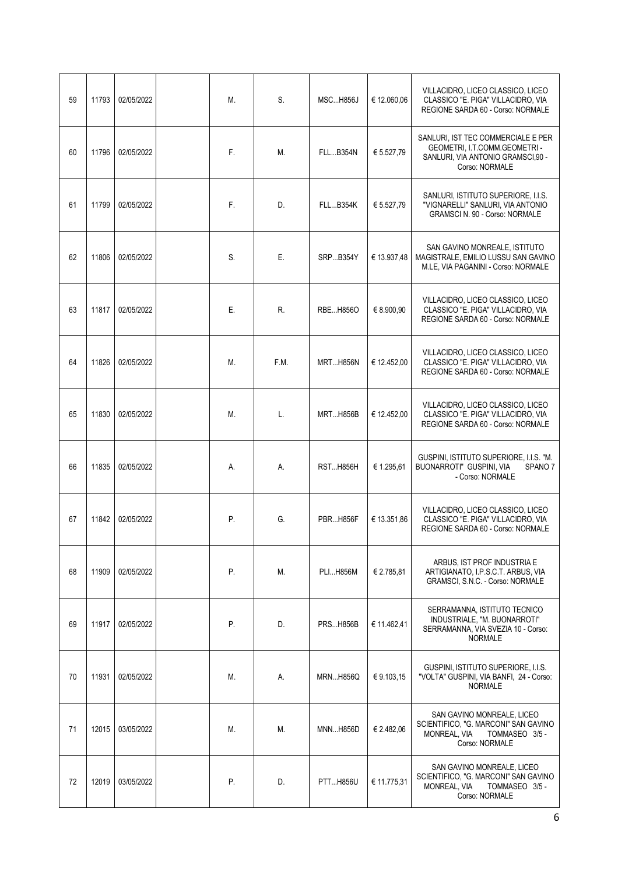| 59 | 11793 | 02/05/2022 | М. | S.   | <b>MSCH856J</b> | € 12.060,06 | VILLACIDRO. LICEO CLASSICO. LICEO<br>CLASSICO "E. PIGA" VILLACIDRO, VIA<br>REGIONE SARDA 60 - Corso: NORMALE               |
|----|-------|------------|----|------|-----------------|-------------|----------------------------------------------------------------------------------------------------------------------------|
| 60 | 11796 | 02/05/2022 | F. | М.   | <b>FLLB354N</b> | € 5.527,79  | SANLURI, IST TEC COMMERCIALE E PER<br>GEOMETRI, I.T.COMM.GEOMETRI -<br>SANLURI, VIA ANTONIO GRAMSCI,90 -<br>Corso: NORMALE |
| 61 | 11799 | 02/05/2022 | F. | D.   | <b>FLLB354K</b> | € 5.527,79  | SANLURI, ISTITUTO SUPERIORE, I.I.S.<br>"VIGNARELLI" SANLURI, VIA ANTONIO<br><b>GRAMSCI N. 90 - Corso: NORMALE</b>          |
| 62 | 11806 | 02/05/2022 | S. | Ε.   | <b>SRPB354Y</b> | € 13.937,48 | SAN GAVINO MONREALE, ISTITUTO<br>MAGISTRALE, EMILIO LUSSU SAN GAVINO<br>M.LE, VIA PAGANINI - Corso: NORMALE                |
| 63 | 11817 | 02/05/2022 | Е. | R.   | RBEH8560        | € 8.900,90  | VILLACIDRO, LICEO CLASSICO, LICEO<br>CLASSICO "E. PIGA" VILLACIDRO, VIA<br>REGIONE SARDA 60 - Corso: NORMALE               |
| 64 | 11826 | 02/05/2022 | М. | F.M. | <b>MRTH856N</b> | € 12.452,00 | VILLACIDRO, LICEO CLASSICO, LICEO<br>CLASSICO "E. PIGA" VILLACIDRO, VIA<br>REGIONE SARDA 60 - Corso: NORMALE               |
| 65 | 11830 | 02/05/2022 | М. | L.   | <b>MRTH856B</b> | € 12.452,00 | VILLACIDRO, LICEO CLASSICO, LICEO<br>CLASSICO "E. PIGA" VILLACIDRO, VIA<br>REGIONE SARDA 60 - Corso: NORMALE               |
| 66 | 11835 | 02/05/2022 | А. | А.   | RSTH856H        | € 1.295,61  | GUSPINI, ISTITUTO SUPERIORE, I.I.S. "M.<br>BUONARROTI" GUSPINI, VIA<br>SPANO <sub>7</sub><br>- Corso: NORMALE              |
| 67 | 11842 | 02/05/2022 | P. | G.   | <b>PBRH856F</b> | € 13.351,86 | VILLACIDRO, LICEO CLASSICO, LICEO<br>CLASSICO "E. PIGA" VILLACIDRO, VIA<br>REGIONE SARDA 60 - Corso: NORMALE               |
| 68 | 11909 | 02/05/2022 | P. | Μ.   | PLI H856M       | € 2.785,81  | ARBUS, IST PROF INDUSTRIA E<br>ARTIGIANATO, I.P.S.C.T. ARBUS, VIA<br><b>GRAMSCI, S.N.C. - Corso: NORMALE</b>               |
| 69 | 11917 | 02/05/2022 | Ρ. | D.   | <b>PRSH856B</b> | € 11.462,41 | SERRAMANNA, ISTITUTO TECNICO<br>INDUSTRIALE, "M. BUONARROTI"<br>SERRAMANNA, VIA SVEZIA 10 - Corso:<br><b>NORMALE</b>       |
| 70 | 11931 | 02/05/2022 | М. | А.   | <b>MRNH856Q</b> | €9.103,15   | GUSPINI, ISTITUTO SUPERIORE, I.I.S.<br>"VOLTA" GUSPINI, VIA BANFI, 24 - Corso:<br><b>NORMALE</b>                           |
| 71 | 12015 | 03/05/2022 | М. | М.   | MNNH856D        | € 2.482,06  | SAN GAVINO MONREALE, LICEO<br>SCIENTIFICO, "G. MARCONI" SAN GAVINO<br>MONREAL, VIA<br>TOMMASEO 3/5 -<br>Corso: NORMALE     |
| 72 | 12019 | 03/05/2022 | Р. | D.   | PTTH856U        | € 11.775,31 | SAN GAVINO MONREALE, LICEO<br>SCIENTIFICO, "G. MARCONI" SAN GAVINO<br>MONREAL, VIA<br>TOMMASEO 3/5 -<br>Corso: NORMALE     |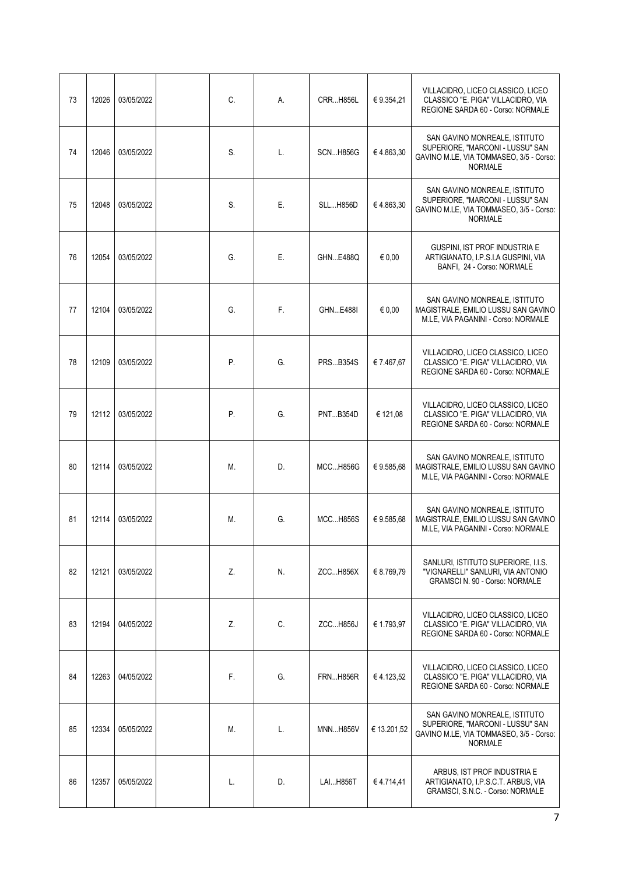| 73 | 12026 | 03/05/2022 | C. | А. | <b>CRRH856L</b> | € 9.354,21  | VILLACIDRO, LICEO CLASSICO, LICEO<br>CLASSICO "E. PIGA" VILLACIDRO, VIA<br>REGIONE SARDA 60 - Corso: NORMALE                   |
|----|-------|------------|----|----|-----------------|-------------|--------------------------------------------------------------------------------------------------------------------------------|
| 74 | 12046 | 03/05/2022 | S. | L. | <b>SCNH856G</b> | €4.863,30   | SAN GAVINO MONREALE. ISTITUTO<br>SUPERIORE, "MARCONI - LUSSU" SAN<br>GAVINO M.LE, VIA TOMMASEO, 3/5 - Corso:<br><b>NORMALE</b> |
| 75 | 12048 | 03/05/2022 | S. | Ε. | <b>SLLH856D</b> | €4.863,30   | SAN GAVINO MONREALE, ISTITUTO<br>SUPERIORE, "MARCONI - LUSSU" SAN<br>GAVINO M.LE, VIA TOMMASEO, 3/5 - Corso:<br><b>NORMALE</b> |
| 76 | 12054 | 03/05/2022 | G. | Ε. | GHNE488Q        | € 0,00      | GUSPINI, IST PROF INDUSTRIA E<br>ARTIGIANATO, I.P.S.I.A GUSPINI, VIA<br>BANFI, 24 - Corso: NORMALE                             |
| 77 | 12104 | 03/05/2022 | G. | F. | GHNE488I        | € 0.00      | SAN GAVINO MONREALE, ISTITUTO<br>MAGISTRALE, EMILIO LUSSU SAN GAVINO<br>M.LE, VIA PAGANINI - Corso: NORMALE                    |
| 78 | 12109 | 03/05/2022 | Р. | G. | <b>PRSB354S</b> | € 7.467,67  | VILLACIDRO, LICEO CLASSICO, LICEO<br>CLASSICO "E. PIGA" VILLACIDRO, VIA<br>REGIONE SARDA 60 - Corso: NORMALE                   |
| 79 | 12112 | 03/05/2022 | Ρ. | G. | <b>PNTB354D</b> | € 121,08    | VILLACIDRO, LICEO CLASSICO, LICEO<br>CLASSICO "E. PIGA" VILLACIDRO, VIA<br>REGIONE SARDA 60 - Corso: NORMALE                   |
| 80 | 12114 | 03/05/2022 | М. | D. | <b>MCCH856G</b> | €9.585,68   | SAN GAVINO MONREALE, ISTITUTO<br>MAGISTRALE, EMILIO LUSSU SAN GAVINO<br>M.LE, VIA PAGANINI - Corso: NORMALE                    |
| 81 | 12114 | 03/05/2022 | Μ. | G. | <b>MCCH856S</b> | €9.585,68   | SAN GAVINO MONREALE, ISTITUTO<br>MAGISTRALE, EMILIO LUSSU SAN GAVINO<br>M.LE, VIA PAGANINI - Corso: NORMALE                    |
| 82 | 12121 | 03/05/2022 | Z. | N. | ZCCH856X        | € 8.769,79  | SANLURI, ISTITUTO SUPERIORE, I.I.S.<br>"VIGNARELLI" SANLURI, VIA ANTONIO<br><b>GRAMSCI N. 90 - Corso: NORMALE</b>              |
| 83 | 12194 | 04/05/2022 | Z. | C. | <b>ZCCH856J</b> | € 1.793,97  | VILLACIDRO. LICEO CLASSICO. LICEO<br>CLASSICO "E. PIGA" VILLACIDRO, VIA<br>REGIONE SARDA 60 - Corso: NORMALE                   |
| 84 | 12263 | 04/05/2022 | F. | G. | <b>FRNH856R</b> | €4.123,52   | VILLACIDRO. LICEO CLASSICO. LICEO<br>CLASSICO "E. PIGA" VILLACIDRO, VIA<br>REGIONE SARDA 60 - Corso: NORMALE                   |
| 85 | 12334 | 05/05/2022 | Μ. | L. | <b>MNNH856V</b> | € 13.201,52 | SAN GAVINO MONREALE, ISTITUTO<br>SUPERIORE, "MARCONI - LUSSU" SAN<br>GAVINO M.LE, VIA TOMMASEO, 3/5 - Corso:<br><b>NORMALE</b> |
| 86 | 12357 | 05/05/2022 | L. | D. | LAI H856T       | €4.714,41   | ARBUS, IST PROF INDUSTRIA E<br>ARTIGIANATO, I.P.S.C.T. ARBUS, VIA<br>GRAMSCI, S.N.C. - Corso: NORMALE                          |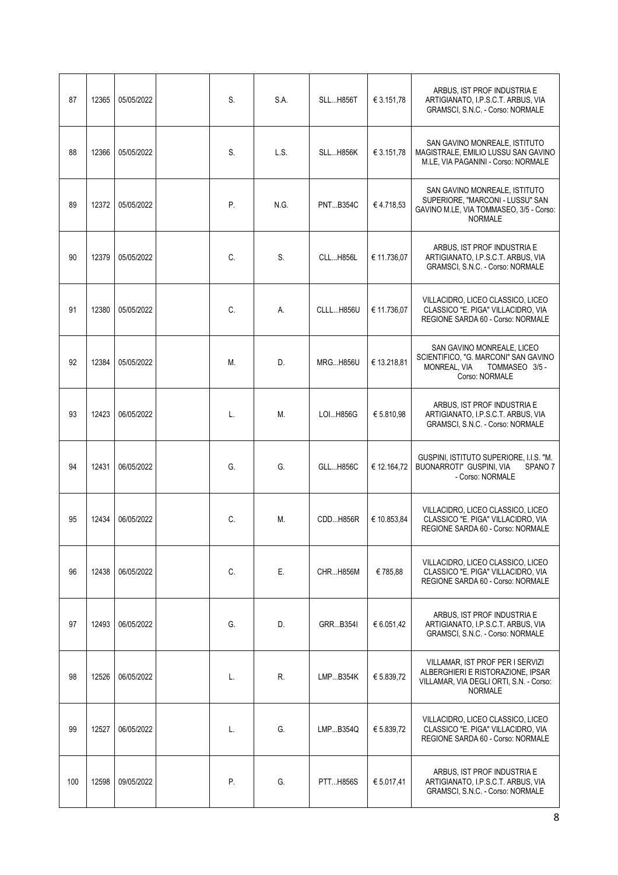| 87  | 12365 | 05/05/2022 | S. | S.A. | <b>SLLH856T</b> | € 3.151,78  | ARBUS, IST PROF INDUSTRIA E<br>ARTIGIANATO, I.P.S.C.T. ARBUS, VIA<br>GRAMSCI, S.N.C. - Corso: NORMALE                              |
|-----|-------|------------|----|------|-----------------|-------------|------------------------------------------------------------------------------------------------------------------------------------|
| 88  | 12366 | 05/05/2022 | S. | L.S. | <b>SLLH856K</b> | € 3.151,78  | SAN GAVINO MONREALE, ISTITUTO<br>MAGISTRALE, EMILIO LUSSU SAN GAVINO<br>M.LE, VIA PAGANINI - Corso: NORMALE                        |
| 89  | 12372 | 05/05/2022 | Ρ. | N.G. | <b>PNTB354C</b> | €4.718,53   | SAN GAVINO MONREALE, ISTITUTO<br>SUPERIORE, "MARCONI - LUSSU" SAN<br>GAVINO M.LE, VIA TOMMASEO, 3/5 - Corso:<br><b>NORMALE</b>     |
| 90  | 12379 | 05/05/2022 | C. | S.   | CLLH856L        | € 11.736,07 | ARBUS, IST PROF INDUSTRIA E<br>ARTIGIANATO, I.P.S.C.T. ARBUS, VIA<br>GRAMSCI, S.N.C. - Corso: NORMALE                              |
| 91  | 12380 | 05/05/2022 | C. | А.   | CLLLH856U       | € 11.736.07 | VILLACIDRO, LICEO CLASSICO, LICEO<br>CLASSICO "E. PIGA" VILLACIDRO, VIA<br>REGIONE SARDA 60 - Corso: NORMALE                       |
| 92  | 12384 | 05/05/2022 | М. | D.   | <b>MRGH856U</b> | € 13.218,81 | SAN GAVINO MONREALE, LICEO<br>SCIENTIFICO, "G. MARCONI" SAN GAVINO<br>MONREAL, VIA<br>TOMMASEO 3/5 -<br>Corso: NORMALE             |
| 93  | 12423 | 06/05/2022 | L. | М.   | LOI H856G       | € 5.810,98  | ARBUS, IST PROF INDUSTRIA E<br>ARTIGIANATO, I.P.S.C.T. ARBUS, VIA<br>GRAMSCI, S.N.C. - Corso: NORMALE                              |
| 94  | 12431 | 06/05/2022 | G. | G.   | <b>GLLH856C</b> | € 12.164,72 | GUSPINI, ISTITUTO SUPERIORE, I.I.S. "M.<br>BUONARROTI" GUSPINI, VIA<br>SPANO <sub>7</sub><br>- Corso: NORMALE                      |
| 95  | 12434 | 06/05/2022 | C. | Μ.   | CDDH856R        | € 10.853,84 | VILLACIDRO, LICEO CLASSICO, LICEO<br>CLASSICO "E. PIGA" VILLACIDRO, VIA<br>REGIONE SARDA 60 - Corso: NORMALE                       |
| 96  | 12438 | 06/05/2022 | C. | Ε.   | CHRH856M        | €785,88     | VILLACIDRO, LICEO CLASSICO, LICEO<br>CLASSICO "E. PIGA" VILLACIDRO. VIA<br>REGIONE SARDA 60 - Corso: NORMALE                       |
| 97  | 12493 | 06/05/2022 | G. | D.   | GRRB3541        | € 6.051,42  | ARBUS, IST PROF INDUSTRIA E<br>ARTIGIANATO, I.P.S.C.T. ARBUS, VIA<br>GRAMSCI, S.N.C. - Corso: NORMALE                              |
| 98  | 12526 | 06/05/2022 | L. | R.   | LMPB354K        | € 5.839,72  | VILLAMAR, IST PROF PER I SERVIZI<br>ALBERGHIERI E RISTORAZIONE, IPSAR<br>VILLAMAR, VIA DEGLI ORTI, S.N. - Corso:<br><b>NORMALE</b> |
| 99  | 12527 | 06/05/2022 | L. | G.   | LMPB354Q        | € 5.839,72  | VILLACIDRO, LICEO CLASSICO, LICEO<br>CLASSICO "E. PIGA" VILLACIDRO, VIA<br>REGIONE SARDA 60 - Corso: NORMALE                       |
| 100 | 12598 | 09/05/2022 | Ρ. | G.   | <b>PTTH856S</b> | € 5.017,41  | ARBUS, IST PROF INDUSTRIA E<br>ARTIGIANATO, I.P.S.C.T. ARBUS, VIA<br>GRAMSCI, S.N.C. - Corso: NORMALE                              |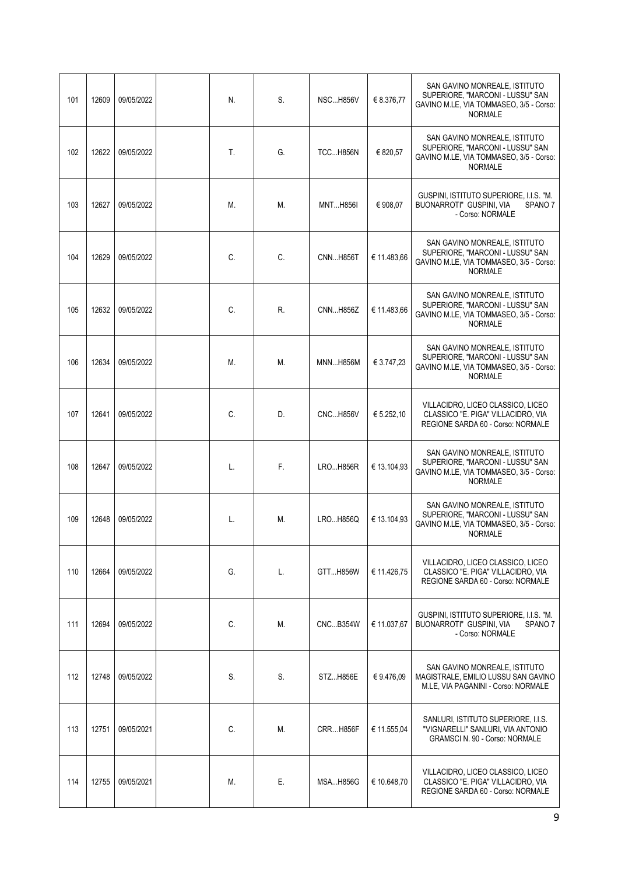| 101 | 12609 | 09/05/2022 | N. | S. | <b>NSCH856V</b> | € 8.376,77  | SAN GAVINO MONREALE, ISTITUTO<br>SUPERIORE, "MARCONI - LUSSU" SAN<br>GAVINO M.LE, VIA TOMMASEO, 3/5 - Corso:<br><b>NORMALE</b> |
|-----|-------|------------|----|----|-----------------|-------------|--------------------------------------------------------------------------------------------------------------------------------|
| 102 | 12622 | 09/05/2022 | T. | G. | <b>TCCH856N</b> | € 820,57    | SAN GAVINO MONREALE, ISTITUTO<br>SUPERIORE, "MARCONI - LUSSU" SAN<br>GAVINO M.LE, VIA TOMMASEO, 3/5 - Corso:<br><b>NORMALE</b> |
| 103 | 12627 | 09/05/2022 | М. | Μ. | <b>MNTH856I</b> | € 908,07    | GUSPINI, ISTITUTO SUPERIORE, I.I.S. "M.<br>BUONARROTI" GUSPINI, VIA<br>SPANO <sub>7</sub><br>- Corso: NORMALE                  |
| 104 | 12629 | 09/05/2022 | C. | C. | <b>CNNH856T</b> | € 11.483,66 | SAN GAVINO MONREALE, ISTITUTO<br>SUPERIORE, "MARCONI - LUSSU" SAN<br>GAVINO M.LE, VIA TOMMASEO, 3/5 - Corso:<br><b>NORMALE</b> |
| 105 | 12632 | 09/05/2022 | C. | R. | CNNH856Z        | € 11.483,66 | SAN GAVINO MONREALE, ISTITUTO<br>SUPERIORE, "MARCONI - LUSSU" SAN<br>GAVINO M.LE, VIA TOMMASEO, 3/5 - Corso:<br><b>NORMALE</b> |
| 106 | 12634 | 09/05/2022 | Μ. | Μ. | <b>MNNH856M</b> | € 3.747,23  | SAN GAVINO MONREALE, ISTITUTO<br>SUPERIORE, "MARCONI - LUSSU" SAN<br>GAVINO M.LE, VIA TOMMASEO, 3/5 - Corso:<br><b>NORMALE</b> |
| 107 | 12641 | 09/05/2022 | C. | D. | <b>CNCH856V</b> | € 5.252,10  | VILLACIDRO, LICEO CLASSICO, LICEO<br>CLASSICO "E. PIGA" VILLACIDRO, VIA<br>REGIONE SARDA 60 - Corso: NORMALE                   |
| 108 | 12647 | 09/05/2022 | L. | F. | <b>LROH856R</b> | € 13.104,93 | SAN GAVINO MONREALE, ISTITUTO<br>SUPERIORE, "MARCONI - LUSSU" SAN<br>GAVINO M.LE, VIA TOMMASEO, 3/5 - Corso:<br><b>NORMALE</b> |
| 109 | 12648 | 09/05/2022 | L. | Μ. | LROH856Q        | € 13.104,93 | SAN GAVINO MONREALE, ISTITUTO<br>SUPERIORE, "MARCONI - LUSSU" SAN<br>GAVINO M.LE, VIA TOMMASEO, 3/5 - Corso:<br><b>NORMALE</b> |
| 110 | 12664 | 09/05/2022 | G. | L. | GTTH856W        | € 11.426,75 | VILLACIDRO, LICEO CLASSICO, LICEO<br>CLASSICO "E. PIGA" VILLACIDRO, VIA<br>REGIONE SARDA 60 - Corso: NORMALE                   |
| 111 | 12694 | 09/05/2022 | C. | Μ. | <b>CNCB354W</b> | € 11.037,67 | GUSPINI, ISTITUTO SUPERIORE, I.I.S. "M.<br>BUONARROTI" GUSPINI, VIA<br>SPANO <sub>7</sub><br>- Corso: NORMALE                  |
| 112 | 12748 | 09/05/2022 | S. | S. | STZH856E        | €9.476,09   | SAN GAVINO MONREALE, ISTITUTO<br>MAGISTRALE, EMILIO LUSSU SAN GAVINO<br>M.LE, VIA PAGANINI - Corso: NORMALE                    |
| 113 | 12751 | 09/05/2021 | C. | Μ. | <b>CRRH856F</b> | € 11.555,04 | SANLURI, ISTITUTO SUPERIORE, I.I.S.<br>"VIGNARELLI" SANLURI, VIA ANTONIO<br><b>GRAMSCI N. 90 - Corso: NORMALE</b>              |
| 114 | 12755 | 09/05/2021 | Μ. | Е. | <b>MSAH856G</b> | € 10.648,70 | VILLACIDRO, LICEO CLASSICO, LICEO<br>CLASSICO "E. PIGA" VILLACIDRO, VIA<br>REGIONE SARDA 60 - Corso: NORMALE                   |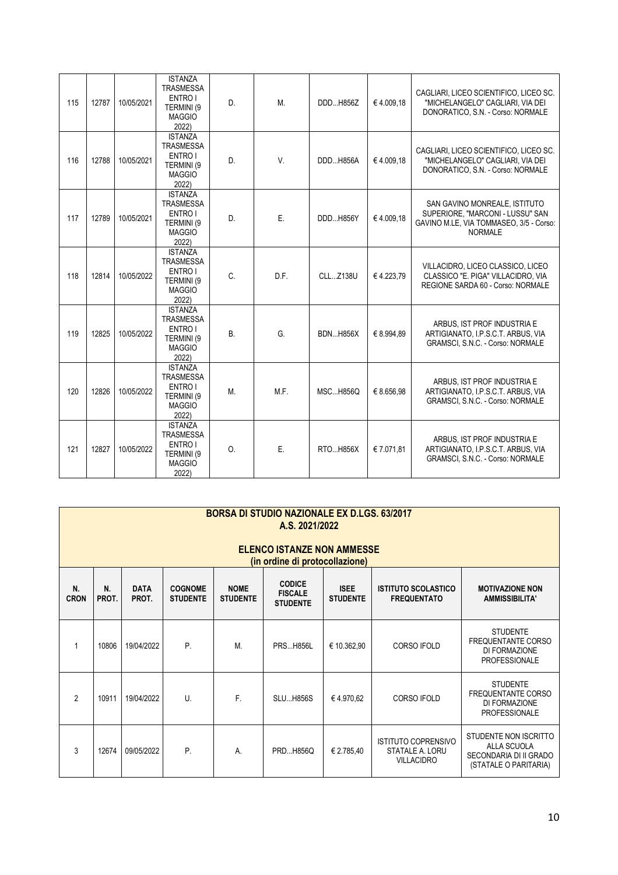| 115 | 12787 | 10/05/2021 | <b>ISTANZA</b><br><b>TRASMESSA</b><br>ENTRO I<br>TERMINI (9<br><b>MAGGIO</b><br>2022) | D.        | Μ.   | DDDH856Z        | €4.009,18  | CAGLIARI. LICEO SCIENTIFICO. LICEO SC.<br>"MICHELANGELO" CAGLIARI, VIA DEI<br>DONORATICO, S.N. - Corso: NORMALE                |
|-----|-------|------------|---------------------------------------------------------------------------------------|-----------|------|-----------------|------------|--------------------------------------------------------------------------------------------------------------------------------|
| 116 | 12788 | 10/05/2021 | <b>ISTANZA</b><br><b>TRASMESSA</b><br>ENTRO I<br>TERMINI (9<br><b>MAGGIO</b><br>2022) | D.        | V.   | DDDH856A        | €4.009.18  | CAGLIARI, LICEO SCIENTIFICO, LICEO SC.<br>"MICHELANGELO" CAGLIARI, VIA DEI<br>DONORATICO, S.N. - Corso: NORMALE                |
| 117 | 12789 | 10/05/2021 | <b>ISTANZA</b><br><b>TRASMESSA</b><br>ENTRO I<br>TERMINI (9<br><b>MAGGIO</b><br>2022) | D.        | Ε.   | DDD H856Y       | €4.009,18  | SAN GAVINO MONREALE, ISTITUTO<br>SUPERIORE. "MARCONI - LUSSU" SAN<br>GAVINO M.LE, VIA TOMMASEO, 3/5 - Corso:<br><b>NORMALE</b> |
| 118 | 12814 | 10/05/2022 | <b>ISTANZA</b><br><b>TRASMESSA</b><br>ENTRO I<br>TERMINI (9<br><b>MAGGIO</b><br>2022) | C.        | D.F. | <b>CLLZ138U</b> | €4.223,79  | VILLACIDRO, LICEO CLASSICO, LICEO<br>CLASSICO "E. PIGA" VILLACIDRO, VIA<br>REGIONE SARDA 60 - Corso: NORMALE                   |
| 119 | 12825 | 10/05/2022 | <b>ISTANZA</b><br><b>TRASMESSA</b><br>ENTRO I<br>TERMINI (9<br><b>MAGGIO</b><br>2022) | <b>B.</b> | G.   | <b>BDNH856X</b> | € 8.994,89 | ARBUS, IST PROF INDUSTRIA E<br>ARTIGIANATO, I.P.S.C.T. ARBUS, VIA<br>GRAMSCI, S.N.C. - Corso: NORMALE                          |
| 120 | 12826 | 10/05/2022 | <b>ISTANZA</b><br>TRASMESSA<br>ENTRO I<br>TERMINI (9<br><b>MAGGIO</b><br>2022)        | Μ.        | M.F. | <b>MSCH856Q</b> | € 8.656,98 | ARBUS, IST PROF INDUSTRIA E<br>ARTIGIANATO, I.P.S.C.T. ARBUS, VIA<br>GRAMSCI, S.N.C. - Corso: NORMALE                          |
| 121 | 12827 | 10/05/2022 | <b>ISTANZA</b><br><b>TRASMESSA</b><br>ENTRO I<br>TERMINI (9<br><b>MAGGIO</b><br>2022) | 0.        | Ε.   | RTOH856X        | € 7.071,81 | ARBUS, IST PROF INDUSTRIA E<br>ARTIGIANATO, I.P.S.C.T. ARBUS, VIA<br>GRAMSCI, S.N.C. - Corso: NORMALE                          |

|                   | <b>BORSA DI STUDIO NAZIONALE EX D.LGS. 63/2017</b><br>A.S. 2021/2022<br><b>ELENCO ISTANZE NON AMMESSE</b><br>(in ordine di protocollazione) |                      |                                   |                                |                                                    |                                |                                                                    |                                                                                                |  |  |  |  |
|-------------------|---------------------------------------------------------------------------------------------------------------------------------------------|----------------------|-----------------------------------|--------------------------------|----------------------------------------------------|--------------------------------|--------------------------------------------------------------------|------------------------------------------------------------------------------------------------|--|--|--|--|
| N.<br><b>CRON</b> | N.<br>PROT.                                                                                                                                 | <b>DATA</b><br>PROT. | <b>COGNOME</b><br><b>STUDENTE</b> | <b>NOME</b><br><b>STUDENTE</b> | <b>CODICE</b><br><b>FISCALE</b><br><b>STUDENTE</b> | <b>ISEE</b><br><b>STUDENTE</b> | <b>ISTITUTO SCOLASTICO</b><br><b>FREQUENTATO</b>                   | <b>MOTIVAZIONE NON</b><br><b>AMMISSIBILITA'</b>                                                |  |  |  |  |
|                   | 10806                                                                                                                                       | 19/04/2022           | P.                                | Μ.                             | <b>PRS H856L</b>                                   | € 10.362,90                    | <b>CORSO IFOLD</b>                                                 | <b>STUDENTE</b><br>FREQUENTANTE CORSO<br>DI FORMAZIONE<br><b>PROFESSIONALE</b>                 |  |  |  |  |
| $\mathfrak{p}$    | 10911                                                                                                                                       | 19/04/2022           | $\mathbf{U}$                      | F.                             | <b>SLU H856S</b>                                   | €4.970,62                      | CORSO IFOLD                                                        | <b>STUDENTE</b><br><b>FREQUENTANTE CORSO</b><br>DI FORMAZIONE<br><b>PROFESSIONALE</b>          |  |  |  |  |
| 3                 | 12674                                                                                                                                       | 09/05/2022           | P.                                | Α.                             | PRD H856Q                                          | € 2.785,40                     | <b>ISTITUTO COPRENSIVO</b><br>STATALE A. LORU<br><b>VILLACIDRO</b> | STUDENTE NON ISCRITTO<br><b>ALLA SCUOLA</b><br>SECONDARIA DI II GRADO<br>(STATALE O PARITARIA) |  |  |  |  |